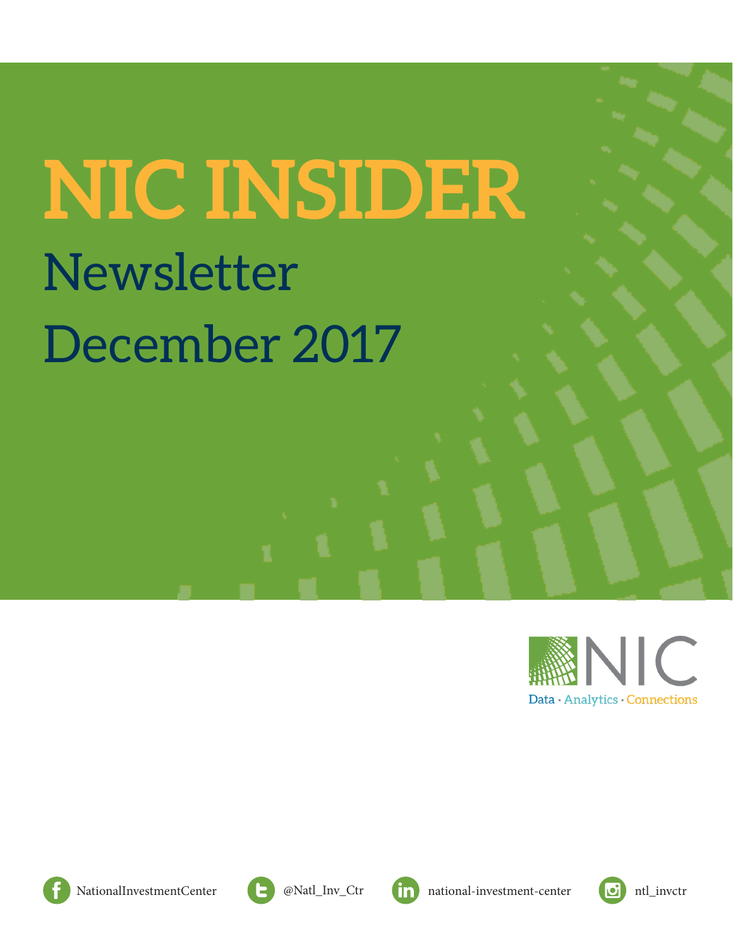# **NIC INSIDER** Newsletter December 2017





[NationalInvestmentCenter](https://www.facebook.com/NationalInvestmentCenter/) **a** [@Natl\\_Inv\\_Ctr](https://twitter.com/Natl_Inv_Ctr%0D) **n** [national-investment-center](https://www.linkedin.com/company/national-investment-center) **d** [ntl\\_invctr](https://www.instagram.com/ntl_invctr/)





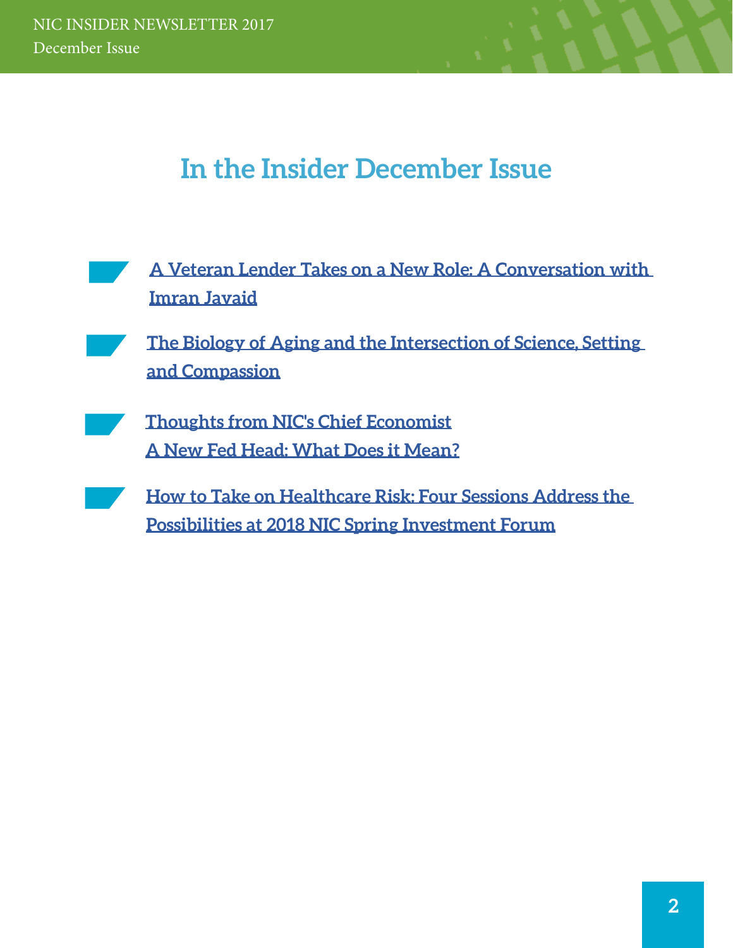# **In the Insider December Issue**

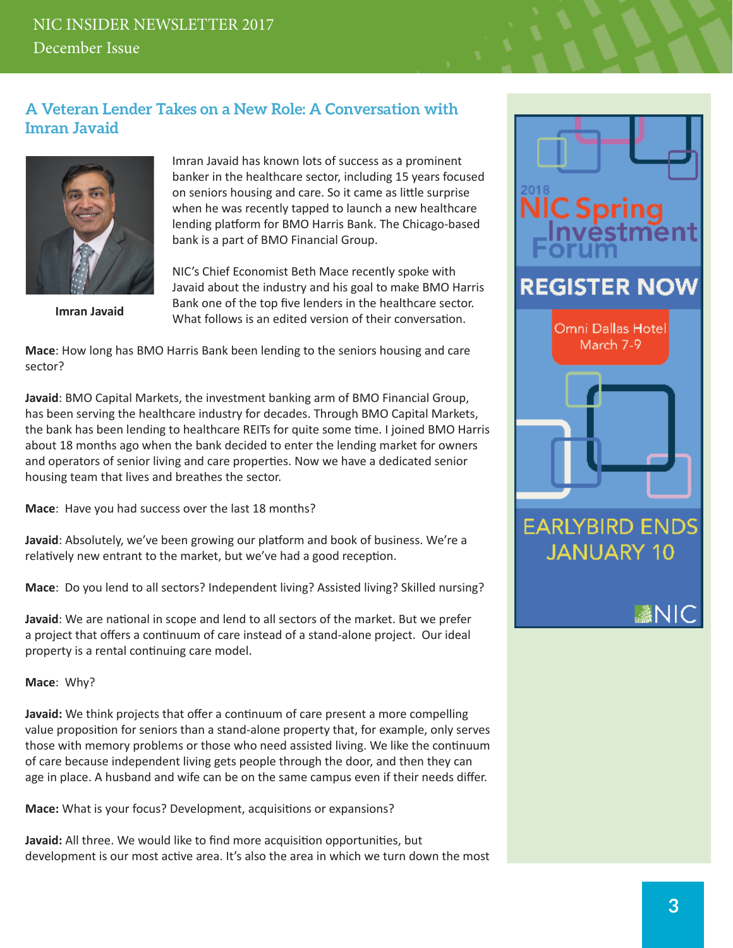## <span id="page-2-0"></span>**A Veteran Lender Takes on a New Role: A Conversation with Imran Javaid**



**Imran Javaid**

Imran Javaid has known lots of success as a prominent banker in the healthcare sector, including 15 years focused on seniors housing and care. So it came as little surprise when he was recently tapped to launch a new healthcare lending platform for BMO Harris Bank. The Chicago-based bank is a part of BMO Financial Group.

NIC's Chief Economist Beth Mace recently spoke with Javaid about the industry and his goal to make BMO Harris Bank one of the top five lenders in the healthcare sector. What follows is an edited version of their conversation.

**Mace**: How long has BMO Harris Bank been lending to the seniors housing and care sector?

**Javaid**: BMO Capital Markets, the investment banking arm of BMO Financial Group, has been serving the healthcare industry for decades. Through BMO Capital Markets, the bank has been lending to healthcare REITs for quite some time. I joined BMO Harris about 18 months ago when the bank decided to enter the lending market for owners and operators of senior living and care properties. Now we have a dedicated senior housing team that lives and breathes the sector.

**Mace**: Have you had success over the last 18 months?

**Javaid**: Absolutely, we've been growing our platform and book of business. We're a relatively new entrant to the market, but we've had a good reception.

**Mace**: Do you lend to all sectors? Independent living? Assisted living? Skilled nursing?

**Javaid**: We are national in scope and lend to all sectors of the market. But we prefer a project that offers a continuum of care instead of a stand-alone project. Our ideal property is a rental continuing care model.

**Mace**: Why?

**Javaid:** We think projects that offer a continuum of care present a more compelling value proposition for seniors than a stand-alone property that, for example, only serves those with memory problems or those who need assisted living. We like the continuum of care because independent living gets people through the door, and then they can age in place. A husband and wife can be on the same campus even if their needs differ.

**Mace:** What is your focus? Development, acquisitions or expansions?

**Javaid:** All three. We would like to find more acquisition opportunities, but development is our most active area. It's also the area in which we turn down the most

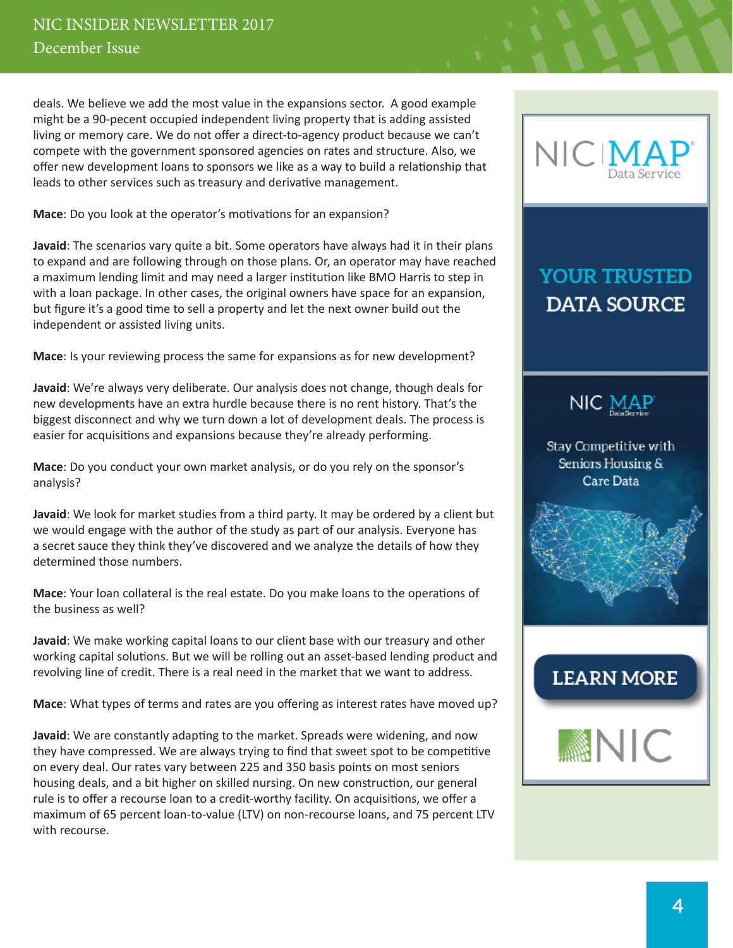deals. We believe we add the most value in the expansions sector. A good example might be a 90-pecent occupied independent living property that is adding assisted living or memory care. We do not offer a direct-to-agency product because we can't compete with the government sponsored agencies on rates and structure. Also, we offer new development loans to sponsors we like as a way to build a relationship that leads to other services such as treasury and derivative management.

**Mace**: Do you look at the operator's motivations for an expansion?

**Javaid**: The scenarios vary quite a bit. Some operators have always had it in their plans to expand and are following through on those plans. Or, an operator may have reached a maximum lending limit and may need a larger institution like BMO Harris to step in with a loan package. In other cases, the original owners have space for an expansion, but figure it's a good time to sell a property and let the next owner build out the independent or assisted living units.

**Mace**: Is your reviewing process the same for expansions as for new development?

**Javaid**: We're always very deliberate. Our analysis does not change, though deals for new developments have an extra hurdle because there is no rent history. That's the biggest disconnect and why we turn down a lot of development deals. The process is easier for acquisitions and expansions because they're already performing.

**Mace**: Do you conduct your own market analysis, or do you rely on the sponsor's analysis?

**Javaid**: We look for market studies from a third party. It may be ordered by a client but we would engage with the author of the study as part of our analysis. Everyone has a secret sauce they think they've discovered and we analyze the details of how they determined those numbers.

**Mace**: Your loan collateral is the real estate. Do you make loans to the operations of the business as well?

**Javaid**: We make working capital loans to our client base with our treasury and other working capital solutions. But we will be rolling out an asset-based lending product and revolving line of credit. There is a real need in the market that we want to address.

**Mace**: What types of terms and rates are you offering as interest rates have moved up?

**Javaid**: We are constantly adapting to the market. Spreads were widening, and now they have compressed. We are always trying to find that sweet spot to be competitive on every deal. Our rates vary between 225 and 350 basis points on most seniors housing deals, and a bit higher on skilled nursing. On new construction, our general rule is to offer a recourse loan to a credit-worthy facility. On acquisitions, we offer a maximum of 65 percent loan-to-value (LTV) on non-recourse loans, and 75 percent LTV with recourse.



# **YOUR TRUSTED DATA SOURCE**



Stay Competitive with Seniors Housing & **Care Data** 



# **LEARN MORE**

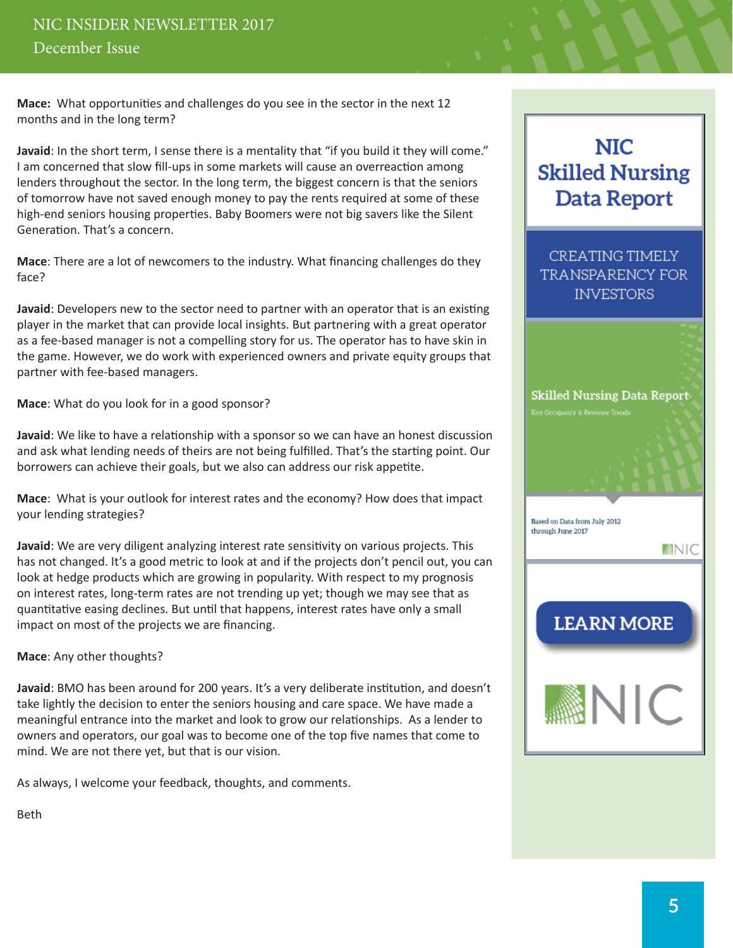## NIC INSIDER NEWSLETTER 2017 December Issue

**Mace:** What opportunities and challenges do you see in the sector in the next 12 months and in the long term?

**Javaid**: In the short term, I sense there is a mentality that "if you build it they will come." I am concerned that slow fill-ups in some markets will cause an overreaction among lenders throughout the sector. In the long term, the biggest concern is that the seniors of tomorrow have not saved enough money to pay the rents required at some of these high-end seniors housing properties. Baby Boomers were not big savers like the Silent Generation. That's a concern.

**Mace**: There are a lot of newcomers to the industry. What financing challenges do they face?

**Javaid**: Developers new to the sector need to partner with an operator that is an existing player in the market that can provide local insights. But partnering with a great operator as a fee-based manager is not a compelling story for us. The operator has to have skin in the game. However, we do work with experienced owners and private equity groups that partner with fee-based managers.

**Mace**: What do you look for in a good sponsor?

**Javaid**: We like to have a relationship with a sponsor so we can have an honest discussion and ask what lending needs of theirs are not being fulfilled. That's the starting point. Our borrowers can achieve their goals, but we also can address our risk appetite.

**Mace**: What is your outlook for interest rates and the economy? How does that impact your lending strategies?

**Javaid**: We are very diligent analyzing interest rate sensitivity on various projects. This has not changed. It's a good metric to look at and if the projects don't pencil out, you can look at hedge products which are growing in popularity. With respect to my prognosis on interest rates, long-term rates are not trending up yet; though we may see that as quantitative easing declines. But until that happens, interest rates have only a small impact on most of the projects we are financing.

**Mace**: Any other thoughts?

**Javaid**: BMO has been around for 200 years. It's a very deliberate institution, and doesn't take lightly the decision to enter the seniors housing and care space. We have made a meaningful entrance into the market and look to grow our relationships. As a lender to owners and operators, our goal was to become one of the top five names that come to mind. We are not there yet, but that is our vision.

As always, I welcome your feedback, thoughts, and comments.

Beth

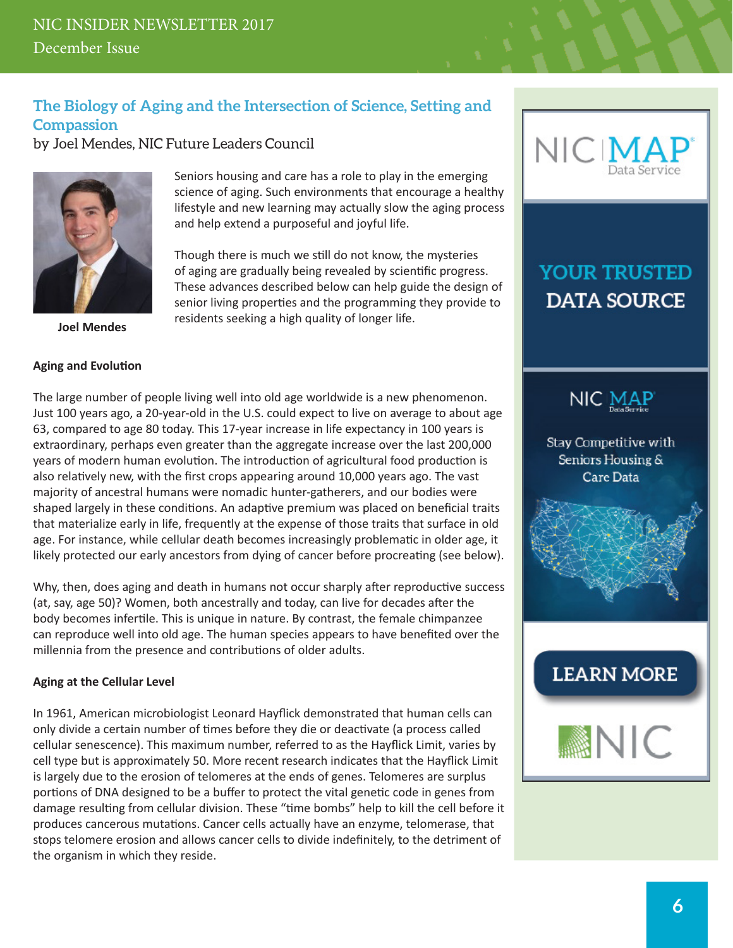## <span id="page-5-0"></span>**The Biology of Aging and the Intersection of Science, Setting and Compassion**

by Joel Mendes, NIC Future Leaders Council



**Joel Mendes**

#### **Aging and Evolution**

Seniors housing and care has a role to play in the emerging science of aging. Such environments that encourage a healthy lifestyle and new learning may actually slow the aging process and help extend a purposeful and joyful life.

Though there is much we still do not know, the mysteries of aging are gradually being revealed by scientific progress. These advances described below can help guide the design of senior living properties and the programming they provide to residents seeking a high quality of longer life.

The large number of people living well into old age worldwide is a new phenomenon. Just 100 years ago, a 20-year-old in the U.S. could expect to live on average to about age 63, compared to age 80 today. This 17-year increase in life expectancy in 100 years is extraordinary, perhaps even greater than the aggregate increase over the last 200,000 years of modern human evolution. The introduction of agricultural food production is also relatively new, with the first crops appearing around 10,000 years ago. The vast majority of ancestral humans were nomadic hunter-gatherers, and our bodies were shaped largely in these conditions. An adaptive premium was placed on beneficial traits that materialize early in life, frequently at the expense of those traits that surface in old age. For instance, while cellular death becomes increasingly problematic in older age, it likely protected our early ancestors from dying of cancer before procreating (see below).

Why, then, does aging and death in humans not occur sharply after reproductive success (at, say, age 50)? Women, both ancestrally and today, can live for decades after the body becomes infertile. This is unique in nature. By contrast, the female chimpanzee can reproduce well into old age. The human species appears to have benefited over the millennia from the presence and contributions of older adults.

#### **Aging at the Cellular Level**

In 1961, American microbiologist Leonard Hayflick demonstrated that human cells can only divide a certain number of times before they die or deactivate (a process called cellular senescence). This maximum number, referred to as the Hayflick Limit, varies by cell type but is approximately 50. More recent research indicates that the Hayflick Limit is largely due to the erosion of telomeres at the ends of genes. Telomeres are surplus portions of DNA designed to be a buffer to protect the vital genetic code in genes from damage resulting from cellular division. These "time bombs" help to kill the cell before it produces cancerous mutations. Cancer cells actually have an enzyme, telomerase, that stops telomere erosion and allows cancer cells to divide indefinitely, to the detriment of the organism in which they reside.



# **YOUR TRUSTED DATA SOURCE**



Stay Competitive with Seniors Housing & Care Data



# **LEARN MORE**

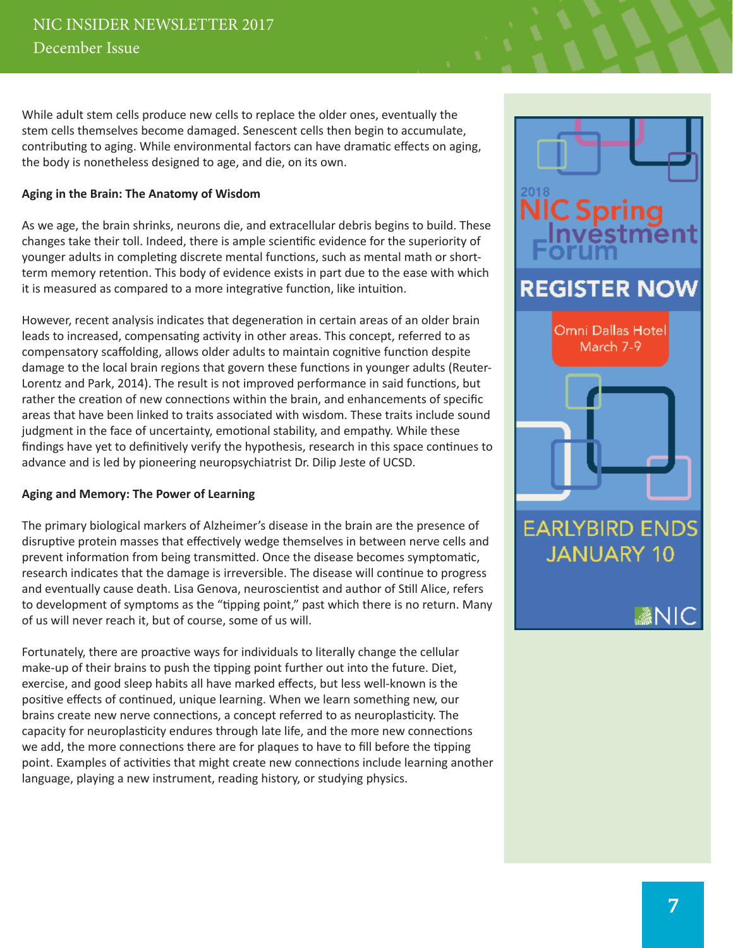While adult stem cells produce new cells to replace the older ones, eventually the stem cells themselves become damaged. Senescent cells then begin to accumulate, contributing to aging. While environmental factors can have dramatic effects on aging, the body is nonetheless designed to age, and die, on its own.

#### **Aging in the Brain: The Anatomy of Wisdom**

As we age, the brain shrinks, neurons die, and extracellular debris begins to build. These changes take their toll. Indeed, there is ample scientific evidence for the superiority of younger adults in completing discrete mental functions, such as mental math or shortterm memory retention. This body of evidence exists in part due to the ease with which it is measured as compared to a more integrative function, like intuition.

However, recent analysis indicates that degeneration in certain areas of an older brain leads to increased, compensating activity in other areas. This concept, referred to as compensatory scaffolding, allows older adults to maintain cognitive function despite damage to the local brain regions that govern these functions in younger adults (Reuter-Lorentz and Park, 2014). The result is not improved performance in said functions, but rather the creation of new connections within the brain, and enhancements of specific areas that have been linked to traits associated with wisdom. These traits include sound judgment in the face of uncertainty, emotional stability, and empathy. While these findings have yet to definitively verify the hypothesis, research in this space continues to advance and is led by pioneering neuropsychiatrist Dr. Dilip Jeste of UCSD.

#### **Aging and Memory: The Power of Learning**

The primary biological markers of Alzheimer's disease in the brain are the presence of disruptive protein masses that effectively wedge themselves in between nerve cells and prevent information from being transmitted. Once the disease becomes symptomatic, research indicates that the damage is irreversible. The disease will continue to progress and eventually cause death. Lisa Genova, neuroscientist and author of Still Alice, refers to development of symptoms as the "tipping point," past which there is no return. Many of us will never reach it, but of course, some of us will.

Fortunately, there are proactive ways for individuals to literally change the cellular make-up of their brains to push the tipping point further out into the future. Diet, exercise, and good sleep habits all have marked effects, but less well-known is the positive effects of continued, unique learning. When we learn something new, our brains create new nerve connections, a concept referred to as neuroplasticity. The capacity for neuroplasticity endures through late life, and the more new connections we add, the more connections there are for plaques to have to fill before the tipping point. Examples of activities that might create new connections include learning another language, playing a new instrument, reading history, or studying physics.

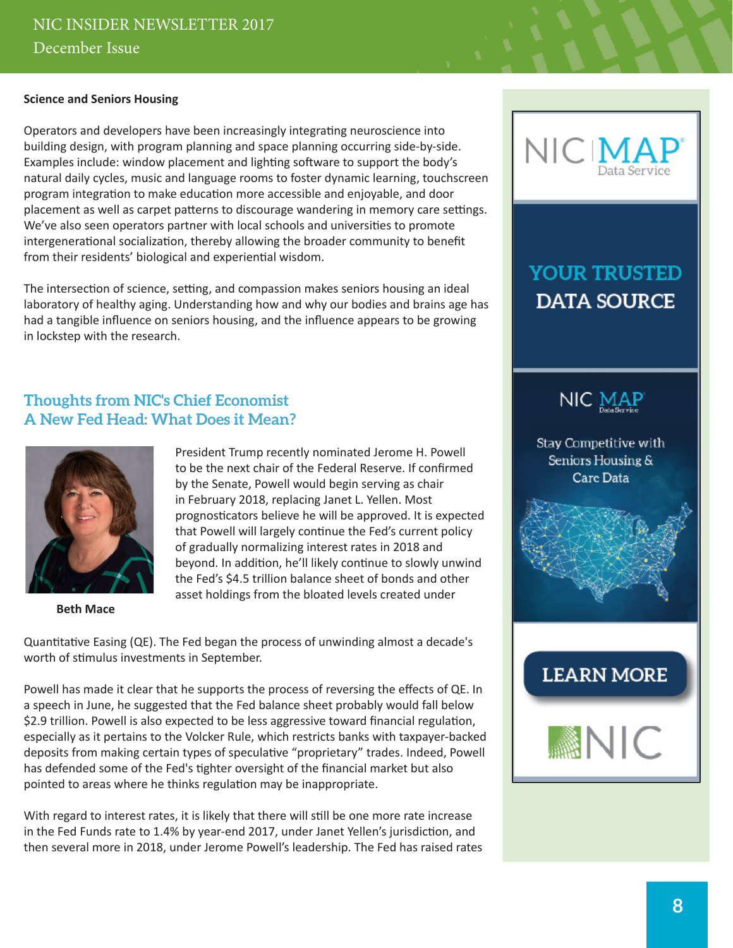#### <span id="page-7-0"></span>**Science and Seniors Housing**

Operators and developers have been increasingly integrating neuroscience into building design, with program planning and space planning occurring side-by-side. Examples include: window placement and lighting software to support the body's natural daily cycles, music and language rooms to foster dynamic learning, touchscreen program integration to make education more accessible and enjoyable, and door placement as well as carpet patterns to discourage wandering in memory care settings. We've also seen operators partner with local schools and universities to promote intergenerational socialization, thereby allowing the broader community to benefit from their residents' biological and experiential wisdom.

The intersection of science, setting, and compassion makes seniors housing an ideal laboratory of healthy aging. Understanding how and why our bodies and brains age has had a tangible influence on seniors housing, and the influence appears to be growing in lockstep with the research.

#### **Thoughts from NIC's Chief Economist A New Fed Head: What Does it Mean?**



**Beth Mace**

President Trump recently nominated Jerome H. Powell to be the next chair of the Federal Reserve. If confirmed by the Senate, Powell would begin serving as chair in February 2018, replacing Janet L. Yellen. Most prognosticators believe he will be approved. It is expected that Powell will largely continue the Fed's current policy of gradually normalizing interest rates in 2018 and beyond. In addition, he'll likely continue to slowly unwind the Fed's \$4.5 trillion balance sheet of bonds and other asset holdings from the bloated levels created under

Quantitative Easing (QE). The Fed began the process of unwinding almost a decade's worth of stimulus investments in September.

Powell has made it clear that he supports the process of reversing the effects of QE. In a speech in June, he suggested that the Fed balance sheet probably would fall below \$2.9 trillion. Powell is also expected to be less aggressive toward financial regulation, especially as it pertains to the Volcker Rule, which restricts banks with taxpayer-backed deposits from making certain types of speculative "proprietary" trades. Indeed, Powell has defended some of the Fed's tighter oversight of the financial market but also pointed to areas where he thinks regulation may be inappropriate.

With regard to interest rates, it is likely that there will still be one more rate increase in the Fed Funds rate to 1.4% by year-end 2017, under Janet Yellen's jurisdiction, and then several more in 2018, under Jerome Powell's leadership. The Fed has raised rates



# **YOUR TRUSTED DATA SOURCE**



Stay Competitive with Seniors Housing & Care Data



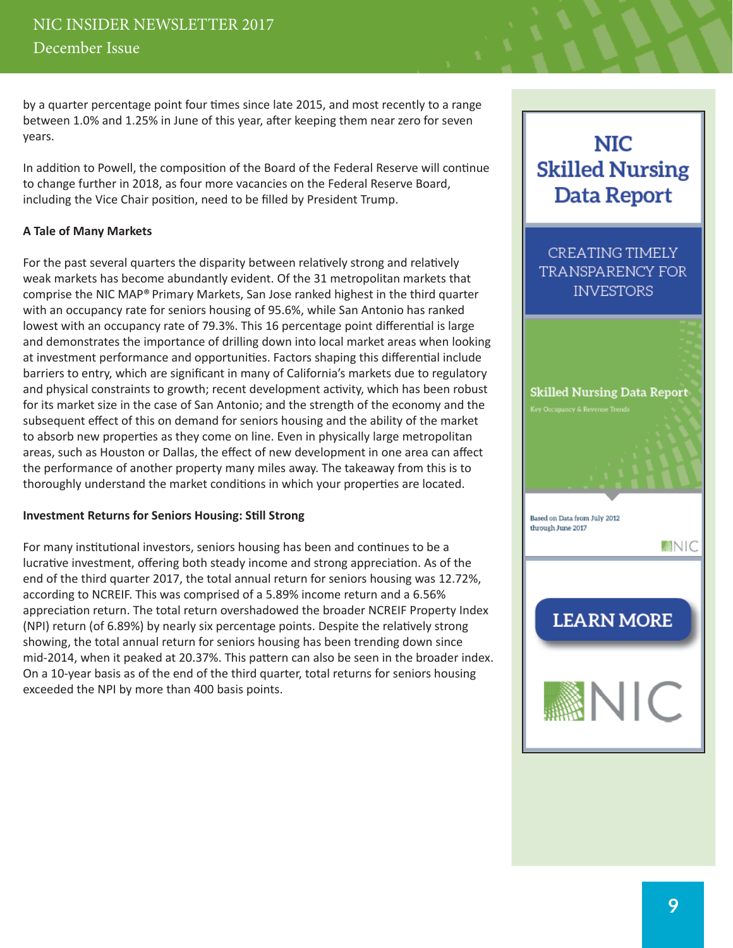by a quarter percentage point four times since late 2015, and most recently to a range between 1.0% and 1.25% in June of this year, after keeping them near zero for seven years.

In addition to Powell, the composition of the Board of the Federal Reserve will continue to change further in 2018, as four more vacancies on the Federal Reserve Board, including the Vice Chair position, need to be filled by President Trump.

#### **A Tale of Many Markets**

For the past several quarters the disparity between relatively strong and relatively weak markets has become abundantly evident. Of the 31 metropolitan markets that comprise the NIC MAP® Primary Markets, San Jose ranked highest in the third quarter with an occupancy rate for seniors housing of 95.6%, while San Antonio has ranked lowest with an occupancy rate of 79.3%. This 16 percentage point differential is large and demonstrates the importance of drilling down into local market areas when looking at investment performance and opportunities. Factors shaping this differential include barriers to entry, which are significant in many of California's markets due to regulatory and physical constraints to growth; recent development activity, which has been robust for its market size in the case of San Antonio; and the strength of the economy and the subsequent effect of this on demand for seniors housing and the ability of the market to absorb new properties as they come on line. Even in physically large metropolitan areas, such as Houston or Dallas, the effect of new development in one area can affect the performance of another property many miles away. The takeaway from this is to thoroughly understand the market conditions in which your properties are located.

#### **Investment Returns for Seniors Housing: Still Strong**

For many institutional investors, seniors housing has been and continues to be a lucrative investment, offering both steady income and strong appreciation. As of the end of the third quarter 2017, the total annual return for seniors housing was 12.72%, according to NCREIF. This was comprised of a 5.89% income return and a 6.56% appreciation return. The total return overshadowed the broader NCREIF Property Index (NPI) return (of 6.89%) by nearly six percentage points. Despite the relatively strong showing, the total annual return for seniors housing has been trending down since mid-2014, when it peaked at 20.37%. This pattern can also be seen in the broader index. On a 10-year basis as of the end of the third quarter, total returns for seniors housing exceeded the NPI by more than 400 basis points.



**NIC** 

**Skilled Nursing** 

**Data Report**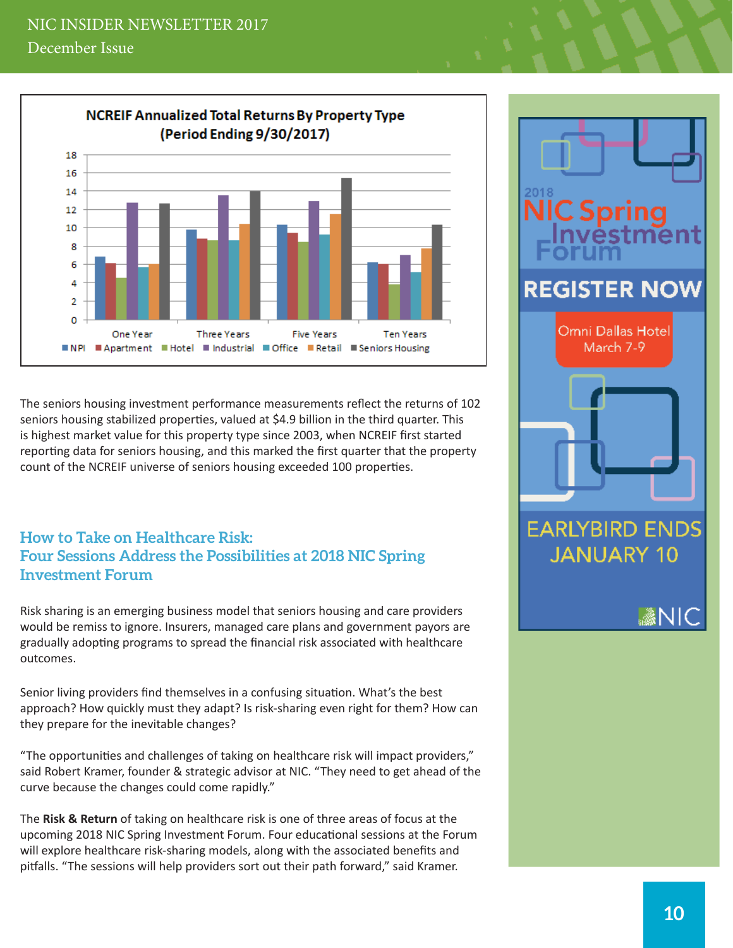<span id="page-9-0"></span>

The seniors housing investment performance measurements reflect the returns of 102 seniors housing stabilized properties, valued at \$4.9 billion in the third quarter. This is highest market value for this property type since 2003, when NCREIF first started reporting data for seniors housing, and this marked the first quarter that the property count of the NCREIF universe of seniors housing exceeded 100 properties.

### **How to Take on Healthcare Risk: Four Sessions Address the Possibilities at 2018 NIC Spring Investment Forum**

Risk sharing is an emerging business model that seniors housing and care providers would be remiss to ignore. Insurers, managed care plans and government payors are gradually adopting programs to spread the financial risk associated with healthcare outcomes.

Senior living providers find themselves in a confusing situation. What's the best approach? How quickly must they adapt? Is risk-sharing even right for them? How can they prepare for the inevitable changes?

"The opportunities and challenges of taking on healthcare risk will impact providers," said Robert Kramer, founder & strategic advisor at NIC. "They need to get ahead of the curve because the changes could come rapidly."

The **Risk & Return** of taking on healthcare risk is one of three areas of focus at the upcoming 2018 NIC Spring Investment Forum. Four educational sessions at the Forum will explore healthcare risk-sharing models, along with the associated benefits and pitfalls. "The sessions will help providers sort out their path forward," said Kramer.

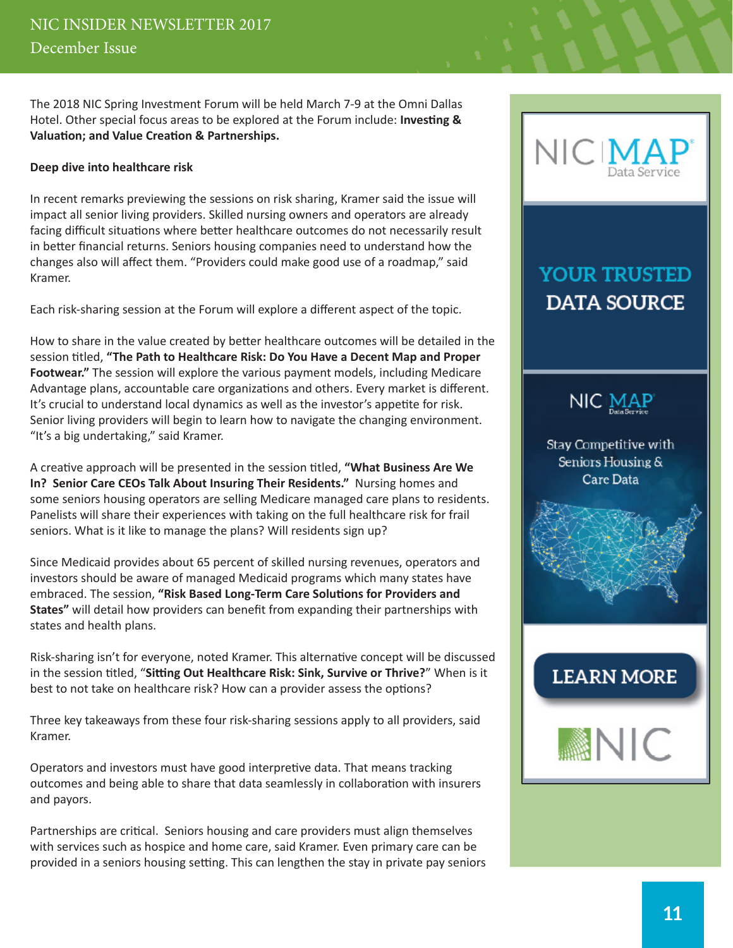The 2018 NIC Spring Investment Forum will be held March 7-9 at the Omni Dallas Hotel. Other special focus areas to be explored at the Forum include: **Investing & Valuation; and Value Creation & Partnerships.**

#### **Deep dive into healthcare risk**

In recent remarks previewing the sessions on risk sharing, Kramer said the issue will impact all senior living providers. Skilled nursing owners and operators are already facing difficult situations where better healthcare outcomes do not necessarily result in better financial returns. Seniors housing companies need to understand how the changes also will affect them. "Providers could make good use of a roadmap," said Kramer.

Each risk-sharing session at the Forum will explore a different aspect of the topic.

How to share in the value created by better healthcare outcomes will be detailed in the session titled, **"The Path to Healthcare Risk: Do You Have a Decent Map and Proper Footwear."** The session will explore the various payment models, including Medicare Advantage plans, accountable care organizations and others. Every market is different. It's crucial to understand local dynamics as well as the investor's appetite for risk. Senior living providers will begin to learn how to navigate the changing environment. "It's a big undertaking," said Kramer.

A creative approach will be presented in the session titled, **"What Business Are We In? Senior Care CEOs Talk About Insuring Their Residents."** Nursing homes and some seniors housing operators are selling Medicare managed care plans to residents. Panelists will share their experiences with taking on the full healthcare risk for frail seniors. What is it like to manage the plans? Will residents sign up?

Since Medicaid provides about 65 percent of skilled nursing revenues, operators and investors should be aware of managed Medicaid programs which many states have embraced. The session, **"Risk Based Long-Term Care Solutions for Providers and States"** will detail how providers can benefit from expanding their partnerships with states and health plans.

Risk-sharing isn't for everyone, noted Kramer. This alternative concept will be discussed in the session titled, "**Sitting Out Healthcare Risk: Sink, Survive or Thrive?**" When is it best to not take on healthcare risk? How can a provider assess the options?

Three key takeaways from these four risk-sharing sessions apply to all providers, said Kramer.

Operators and investors must have good interpretive data. That means tracking outcomes and being able to share that data seamlessly in collaboration with insurers and payors.

Partnerships are critical. Seniors housing and care providers must align themselves with services such as hospice and home care, said Kramer. Even primary care can be provided in a seniors housing setting. This can lengthen the stay in private pay seniors



# **YOUR TRUSTED DATA SOURCE**



Stay Competitive with Seniors Housing & Care Data



# **LEARN MORE**

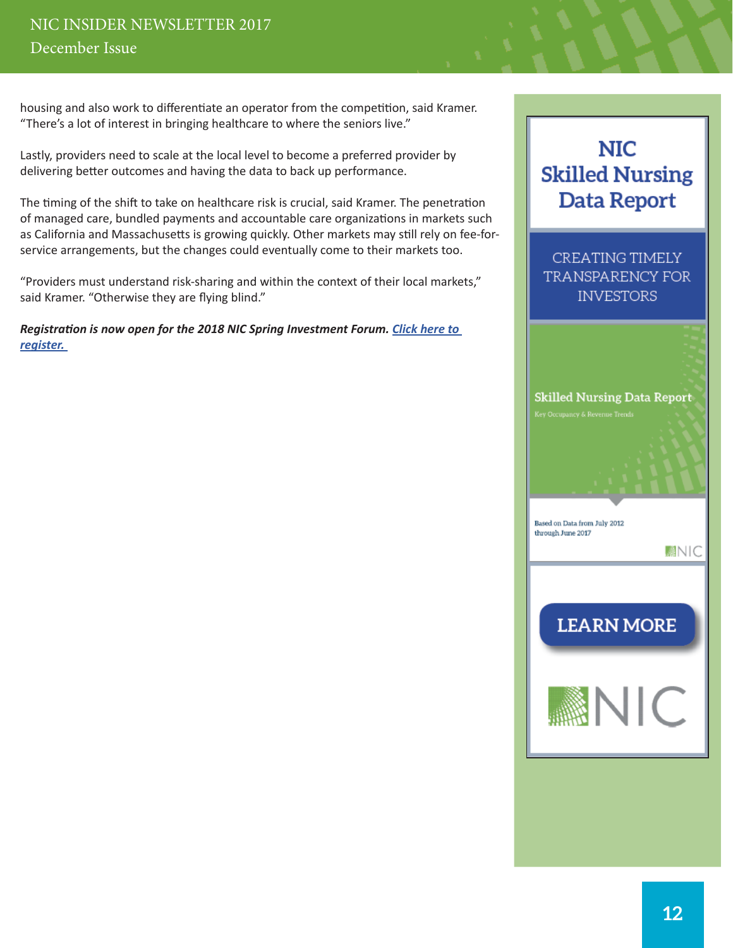## NIC INSIDER NEWSLETTER 2017 December Issue

housing and also work to differentiate an operator from the competition, said Kramer. "There's a lot of interest in bringing healthcare to where the seniors live."

Lastly, providers need to scale at the local level to become a preferred provider by delivering better outcomes and having the data to back up performance.

The timing of the shift to take on healthcare risk is crucial, said Kramer. The penetration of managed care, bundled payments and accountable care organizations in markets such as California and Massachusetts is growing quickly. Other markets may still rely on fee-forservice arrangements, but the changes could eventually come to their markets too.

"Providers must understand risk-sharing and within the context of their local markets," said Kramer. "Otherwise they are flying blind."

*Registration is now open for the 2018 NIC Spring Investment Forum. [Click here to](http://www.nicevent.org/events/2018-nic-spring-investment-forum/event-summary-afc3ecfbc5564295826002e1ba450c55.aspx?utm_source=nic&utm_medium=banner&utm_campaign=nicforum18)  [register.](http://www.nicevent.org/events/2018-nic-spring-investment-forum/event-summary-afc3ecfbc5564295826002e1ba450c55.aspx?utm_source=nic&utm_medium=banner&utm_campaign=nicforum18)* 

# **NIC Skilled Nursing Data Report**

CREATING TIMELY TRANSPARENCY FOR **INVESTORS**